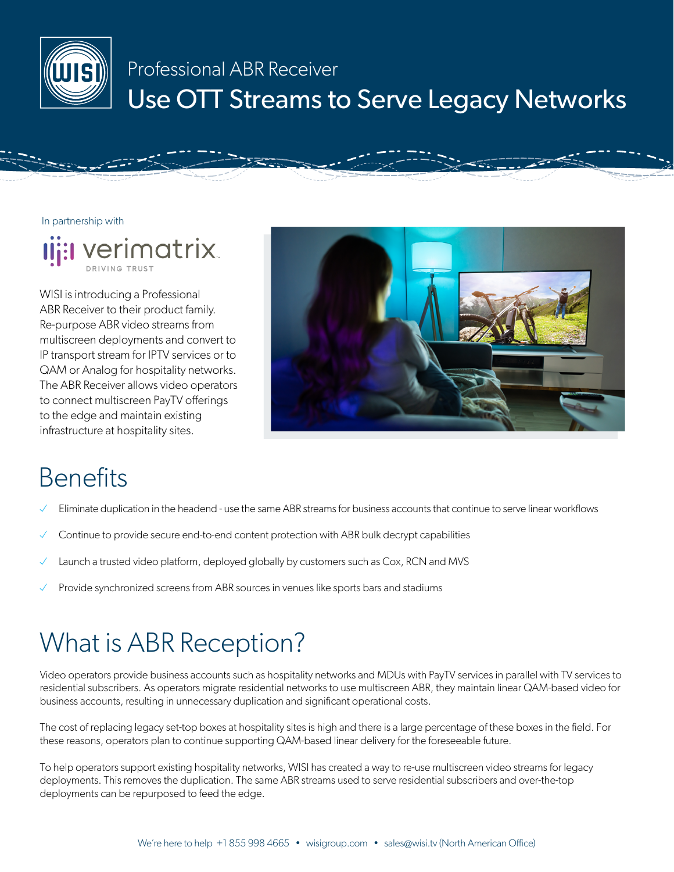

#### Professional ABR Receiver Use OTT Streams to Serve Legacy Networks

In partnership with



WISI is introducing a Professional ABR Receiver to their product family. Re-purpose ABR video streams from multiscreen deployments and convert to IP transport stream for IPTV services or to QAM or Analog for hospitality networks. The ABR Receiver allows video operators to connect multiscreen PayTV offerings to the edge and maintain existing infrastructure at hospitality sites.



# **Benefits**

- Eliminate duplication in the headend use the same ABR streams for business accounts that continue to serve linear workflows
- Continue to provide secure end-to-end content protection with ABR bulk decrypt capabilities
- Launch a trusted video platform, deployed globally by customers such as Cox, RCN and MVS
- Provide synchronized screens from ABR sources in venues like sports bars and stadiums

### What is ABR Reception?

Video operators provide business accounts such as hospitality networks and MDUs with PayTV services in parallel with TV services to residential subscribers. As operators migrate residential networks to use multiscreen ABR, they maintain linear QAM-based video for business accounts, resulting in unnecessary duplication and significant operational costs.

The cost of replacing legacy set-top boxes at hospitality sites is high and there is a large percentage of these boxes in the field. For these reasons, operators plan to continue supporting QAM-based linear delivery for the foreseeable future.

To help operators support existing hospitality networks, WISI has created a way to re-use multiscreen video streams for legacy deployments. This removes the duplication. The same ABR streams used to serve residential subscribers and over-the-top deployments can be repurposed to feed the edge.